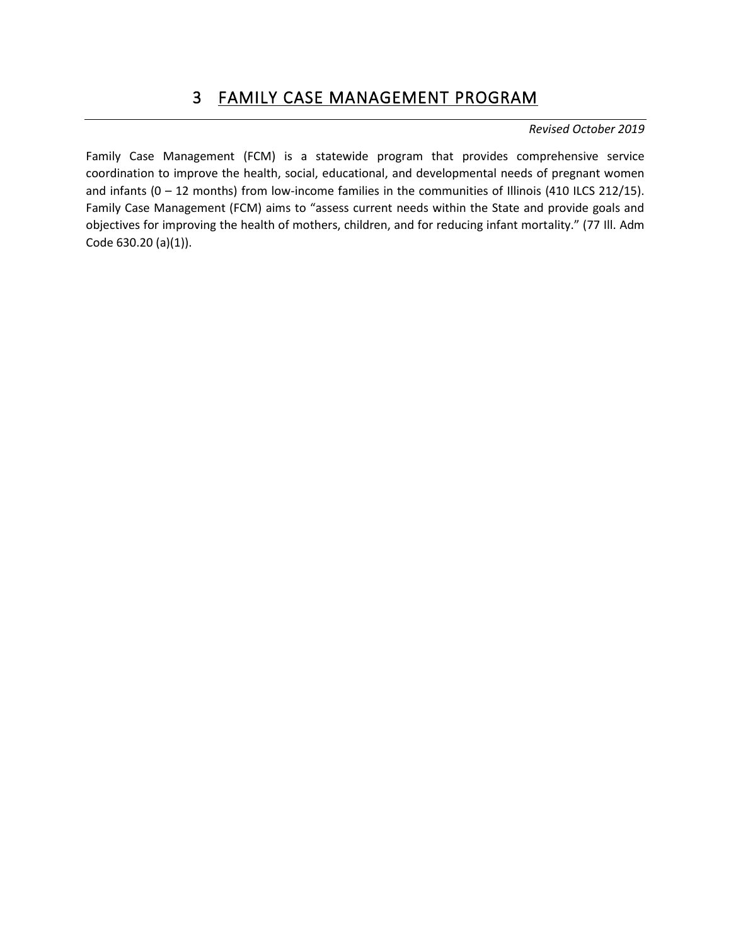Family Case Management (FCM) is a statewide program that provides comprehensive service coordination to improve the health, social, educational, and developmental needs of pregnant women and infants (0 – 12 months) from low-income families in the communities of Illinois (410 ILCS 212/15). Family Case Management (FCM) aims to "assess current needs within the State and provide goals and objectives for improving the health of mothers, children, and for reducing infant mortality." (77 Ill. Adm Code 630.20 (a)(1)).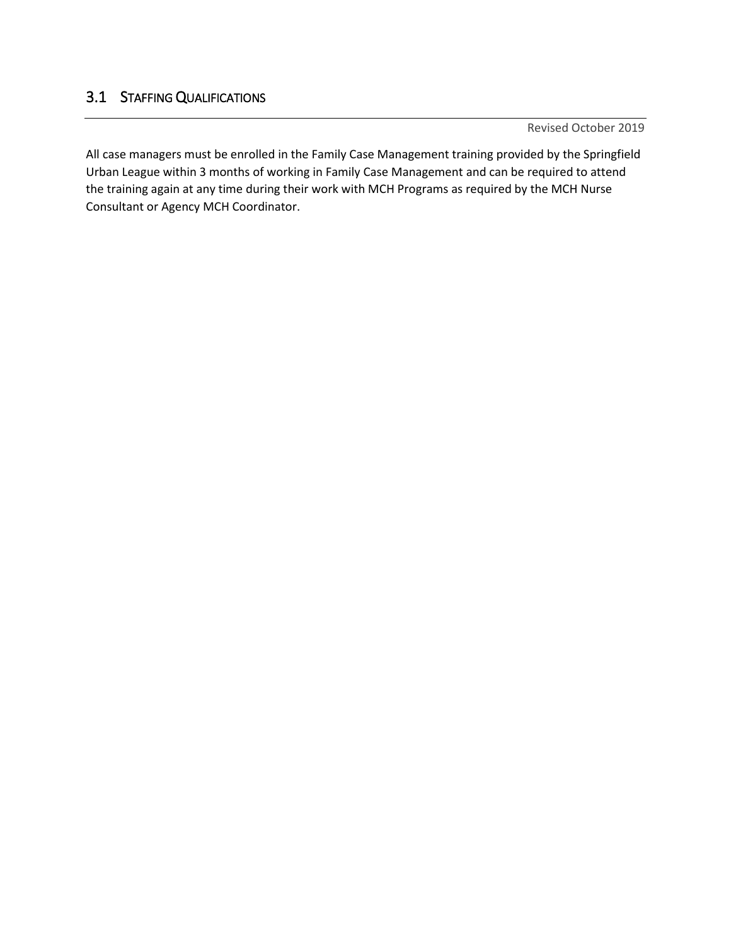# 3.1 STAFFING QUALIFICATIONS

Revised October 2019

All case managers must be enrolled in the Family Case Management training provided by the Springfield Urban League within 3 months of working in Family Case Management and can be required to attend the training again at any time during their work with MCH Programs as required by the MCH Nurse Consultant or Agency MCH Coordinator.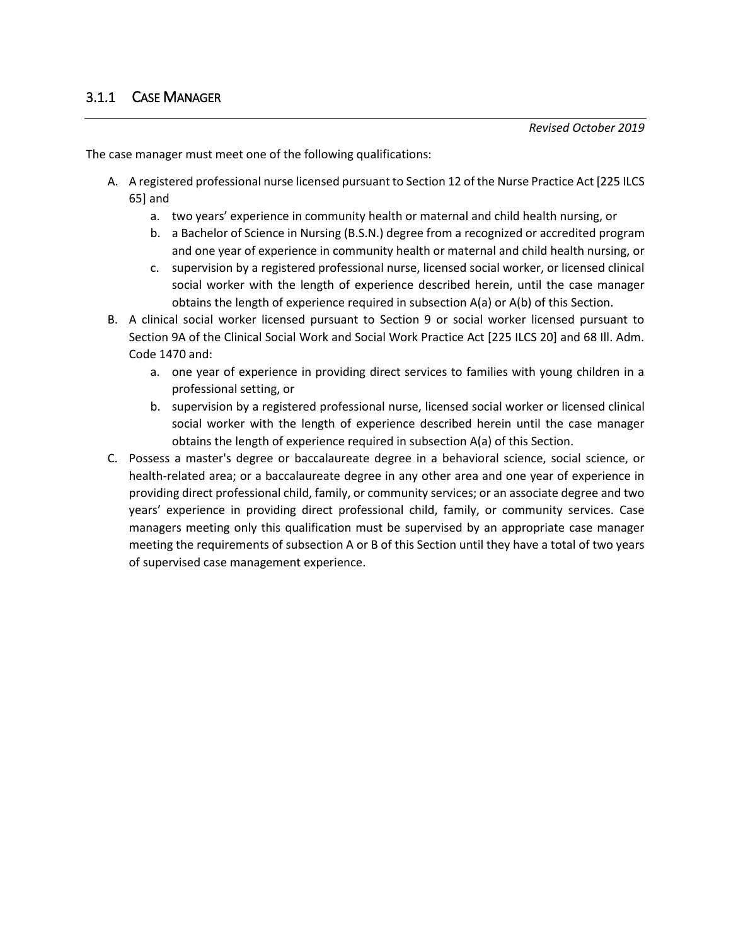The case manager must meet one of the following qualifications:

- A. A registered professional nurse licensed pursuant to Section 12 of the Nurse Practice Act [225 ILCS 65] and
	- a. two years' experience in community health or maternal and child health nursing, or
	- b. a Bachelor of Science in Nursing (B.S.N.) degree from a recognized or accredited program and one year of experience in community health or maternal and child health nursing, or
	- c. supervision by a registered professional nurse, licensed social worker, or licensed clinical social worker with the length of experience described herein, until the case manager obtains the length of experience required in subsection A(a) or A(b) of this Section.
- B. A clinical social worker licensed pursuant to Section 9 or social worker licensed pursuant to Section 9A of the Clinical Social Work and Social Work Practice Act [225 ILCS 20] and 68 Ill. Adm. Code 1470 and:
	- a. one year of experience in providing direct services to families with young children in a professional setting, or
	- b. supervision by a registered professional nurse, licensed social worker or licensed clinical social worker with the length of experience described herein until the case manager obtains the length of experience required in subsection A(a) of this Section.
- C. Possess a master's degree or baccalaureate degree in a behavioral science, social science, or health-related area; or a baccalaureate degree in any other area and one year of experience in providing direct professional child, family, or community services; or an associate degree and two years' experience in providing direct professional child, family, or community services. Case managers meeting only this qualification must be supervised by an appropriate case manager meeting the requirements of subsection A or B of this Section until they have a total of two years of supervised case management experience.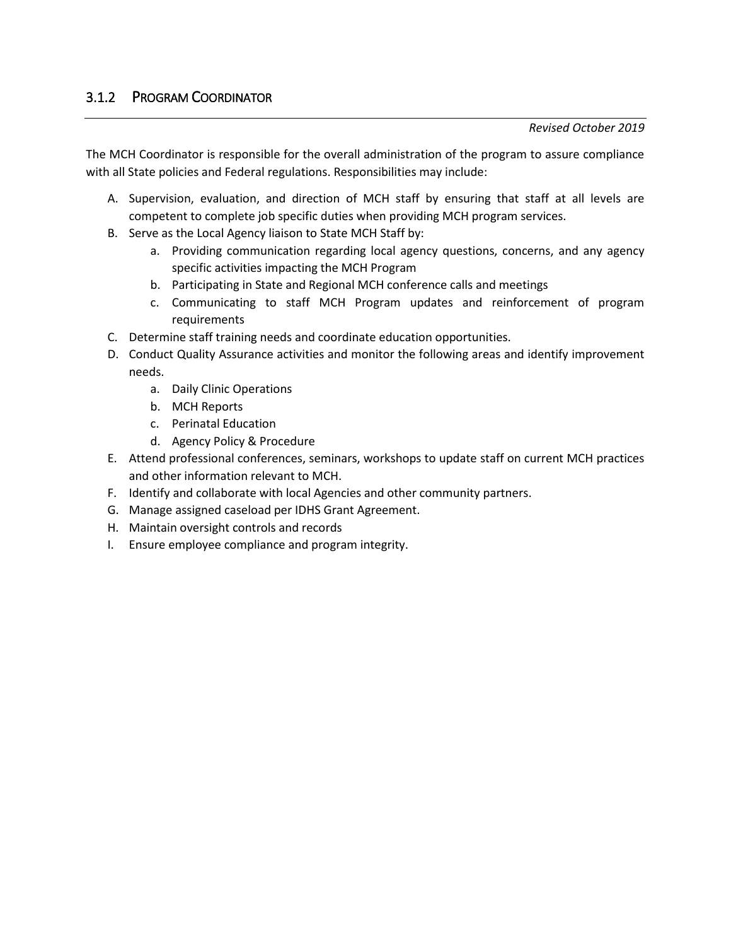The MCH Coordinator is responsible for the overall administration of the program to assure compliance with all State policies and Federal regulations. Responsibilities may include:

- A. Supervision, evaluation, and direction of MCH staff by ensuring that staff at all levels are competent to complete job specific duties when providing MCH program services.
- B. Serve as the Local Agency liaison to State MCH Staff by:
	- a. Providing communication regarding local agency questions, concerns, and any agency specific activities impacting the MCH Program
	- b. Participating in State and Regional MCH conference calls and meetings
	- c. Communicating to staff MCH Program updates and reinforcement of program requirements
- C. Determine staff training needs and coordinate education opportunities.
- D. Conduct Quality Assurance activities and monitor the following areas and identify improvement needs.
	- a. Daily Clinic Operations
	- b. MCH Reports
	- c. Perinatal Education
	- d. Agency Policy & Procedure
- E. Attend professional conferences, seminars, workshops to update staff on current MCH practices and other information relevant to MCH.
- F. Identify and collaborate with local Agencies and other community partners.
- G. Manage assigned caseload per IDHS Grant Agreement.
- H. Maintain oversight controls and records
- I. Ensure employee compliance and program integrity.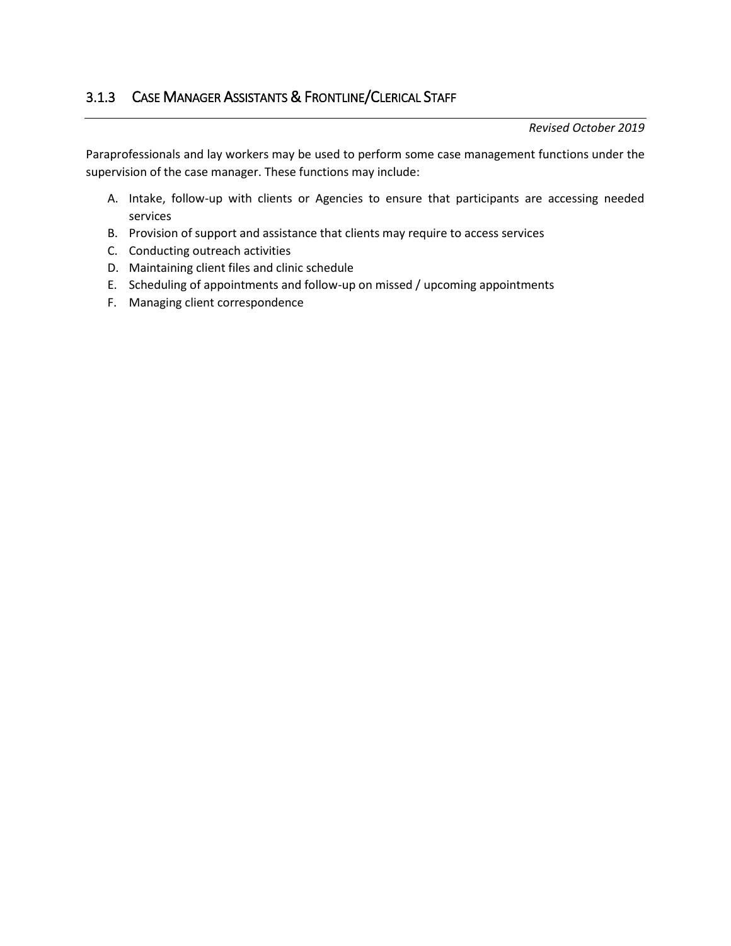Paraprofessionals and lay workers may be used to perform some case management functions under the supervision of the case manager. These functions may include:

- A. Intake, follow-up with clients or Agencies to ensure that participants are accessing needed services
- B. Provision of support and assistance that clients may require to access services
- C. Conducting outreach activities
- D. Maintaining client files and clinic schedule
- E. Scheduling of appointments and follow-up on missed / upcoming appointments
- F. Managing client correspondence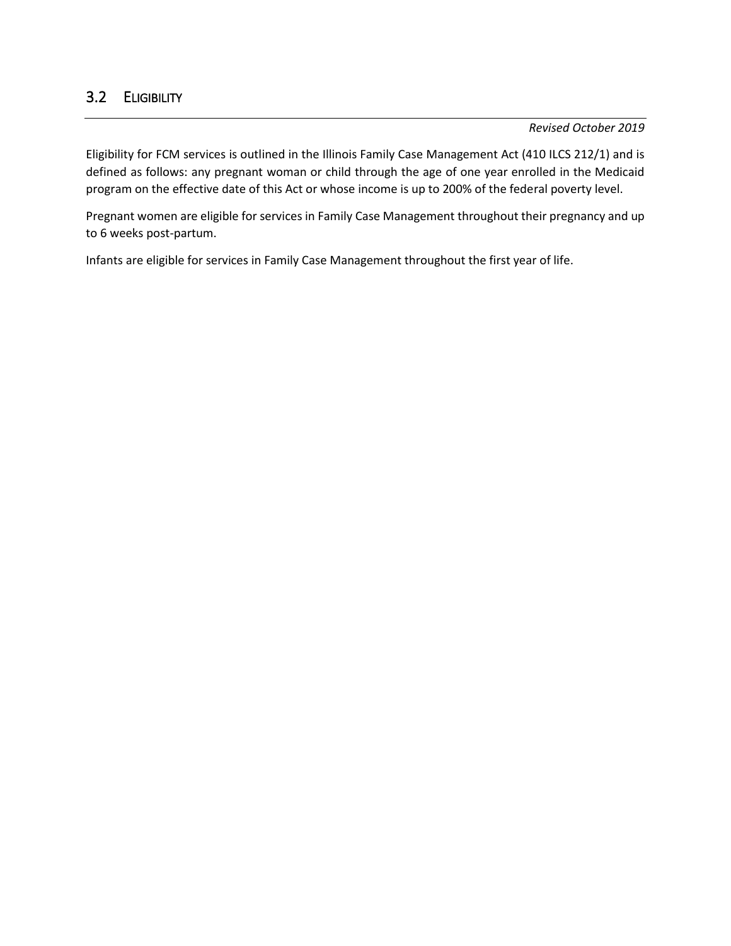# 3.2 ELIGIBILITY

*Revised October 2019*

Eligibility for FCM services is outlined in the Illinois Family Case Management Act (410 ILCS 212/1) and is defined as follows: any pregnant woman or child through the age of one year enrolled in the Medicaid program on the effective date of this Act or whose income is up to 200% of the federal poverty level.

Pregnant women are eligible for services in Family Case Management throughout their pregnancy and up to 6 weeks post-partum.

Infants are eligible for services in Family Case Management throughout the first year of life.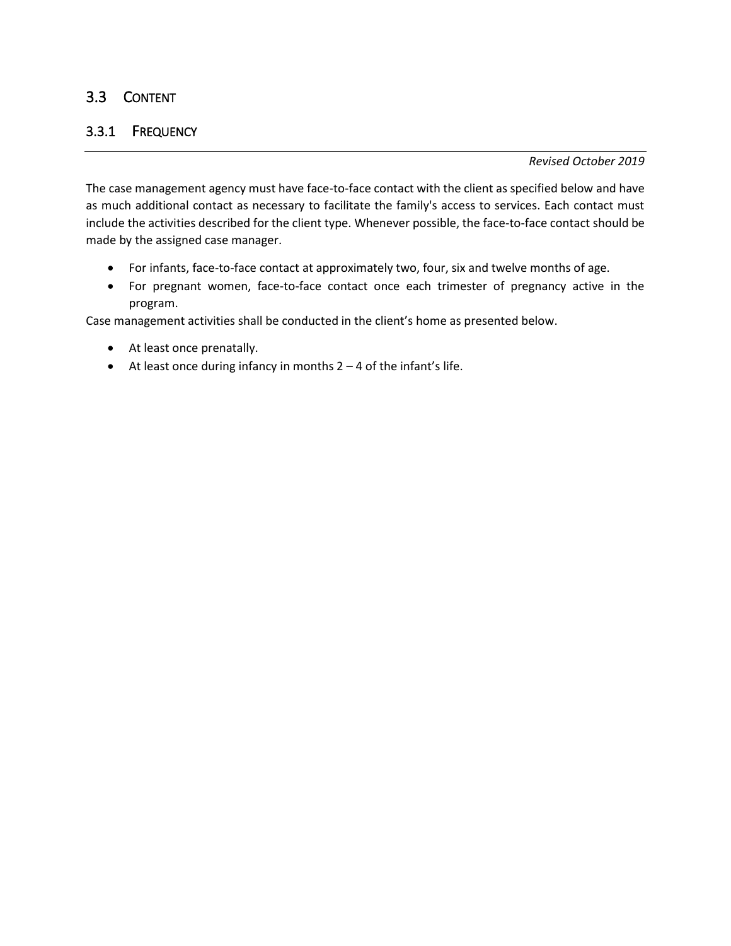## 3.3 CONTENT

## 3.3.1 FREQUENCY

*Revised October 2019*

The case management agency must have face-to-face contact with the client as specified below and have as much additional contact as necessary to facilitate the family's access to services. Each contact must include the activities described for the client type. Whenever possible, the face-to-face contact should be made by the assigned case manager.

- For infants, face-to-face contact at approximately two, four, six and twelve months of age.
- For pregnant women, face-to-face contact once each trimester of pregnancy active in the program.

Case management activities shall be conducted in the client's home as presented below.

- At least once prenatally.
- At least once during infancy in months  $2 4$  of the infant's life.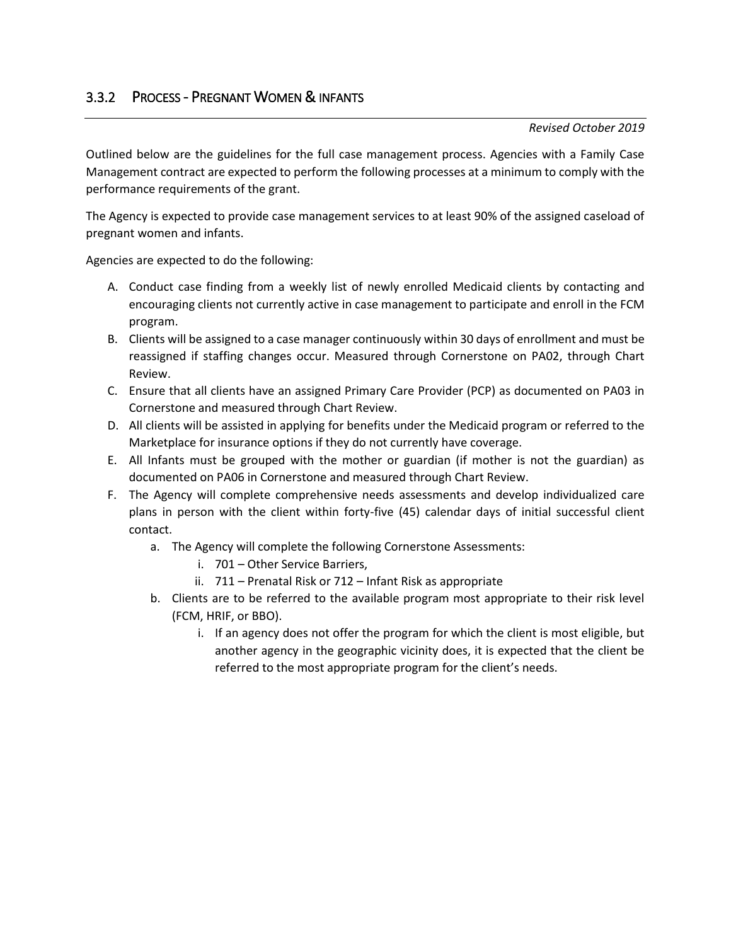# 3.3.2 PROCESS - PREGNANT WOMEN & INFANTS

### *Revised October 2019*

Outlined below are the guidelines for the full case management process. Agencies with a Family Case Management contract are expected to perform the following processes at a minimum to comply with the performance requirements of the grant.

The Agency is expected to provide case management services to at least 90% of the assigned caseload of pregnant women and infants.

Agencies are expected to do the following:

- A. Conduct case finding from a weekly list of newly enrolled Medicaid clients by contacting and encouraging clients not currently active in case management to participate and enroll in the FCM program.
- B. Clients will be assigned to a case manager continuously within 30 days of enrollment and must be reassigned if staffing changes occur. Measured through Cornerstone on PA02, through Chart Review.
- C. Ensure that all clients have an assigned Primary Care Provider (PCP) as documented on PA03 in Cornerstone and measured through Chart Review.
- D. All clients will be assisted in applying for benefits under the Medicaid program or referred to the Marketplace for insurance options if they do not currently have coverage.
- E. All Infants must be grouped with the mother or guardian (if mother is not the guardian) as documented on PA06 in Cornerstone and measured through Chart Review.
- F. The Agency will complete comprehensive needs assessments and develop individualized care plans in person with the client within forty-five (45) calendar days of initial successful client contact.
	- a. The Agency will complete the following Cornerstone Assessments:
		- i. 701 Other Service Barriers,
		- ii. 711 Prenatal Risk or 712 Infant Risk as appropriate
	- b. Clients are to be referred to the available program most appropriate to their risk level (FCM, HRIF, or BBO).
		- i. If an agency does not offer the program for which the client is most eligible, but another agency in the geographic vicinity does, it is expected that the client be referred to the most appropriate program for the client's needs.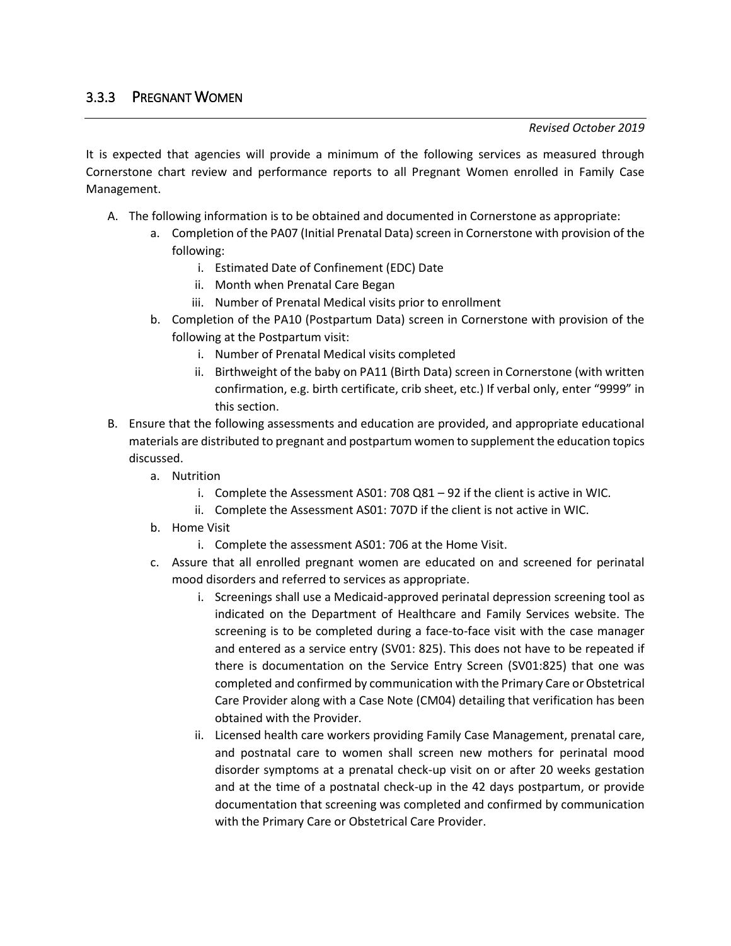It is expected that agencies will provide a minimum of the following services as measured through Cornerstone chart review and performance reports to all Pregnant Women enrolled in Family Case Management.

- A. The following information is to be obtained and documented in Cornerstone as appropriate:
	- a. Completion of the PA07 (Initial Prenatal Data) screen in Cornerstone with provision of the following:
		- i. Estimated Date of Confinement (EDC) Date
		- ii. Month when Prenatal Care Began
		- iii. Number of Prenatal Medical visits prior to enrollment
	- b. Completion of the PA10 (Postpartum Data) screen in Cornerstone with provision of the following at the Postpartum visit:
		- i. Number of Prenatal Medical visits completed
		- ii. Birthweight of the baby on PA11 (Birth Data) screen in Cornerstone (with written confirmation, e.g. birth certificate, crib sheet, etc.) If verbal only, enter "9999" in this section.
- B. Ensure that the following assessments and education are provided, and appropriate educational materials are distributed to pregnant and postpartum women to supplement the education topics discussed.
	- a. Nutrition
		- i. Complete the Assessment AS01: 708 Q81 92 if the client is active in WIC.
		- ii. Complete the Assessment AS01: 707D if the client is not active in WIC.
	- b. Home Visit
		- i. Complete the assessment AS01: 706 at the Home Visit.
	- c. Assure that all enrolled pregnant women are educated on and screened for perinatal mood disorders and referred to services as appropriate.
		- i. Screenings shall use a Medicaid-approved perinatal depression screening tool as indicated on the Department of Healthcare and Family Services website. The screening is to be completed during a face-to-face visit with the case manager and entered as a service entry (SV01: 825). This does not have to be repeated if there is documentation on the Service Entry Screen (SV01:825) that one was completed and confirmed by communication with the Primary Care or Obstetrical Care Provider along with a Case Note (CM04) detailing that verification has been obtained with the Provider.
		- ii. Licensed health care workers providing Family Case Management, prenatal care, and postnatal care to women shall screen new mothers for perinatal mood disorder symptoms at a prenatal check-up visit on or after 20 weeks gestation and at the time of a postnatal check-up in the 42 days postpartum, or provide documentation that screening was completed and confirmed by communication with the Primary Care or Obstetrical Care Provider.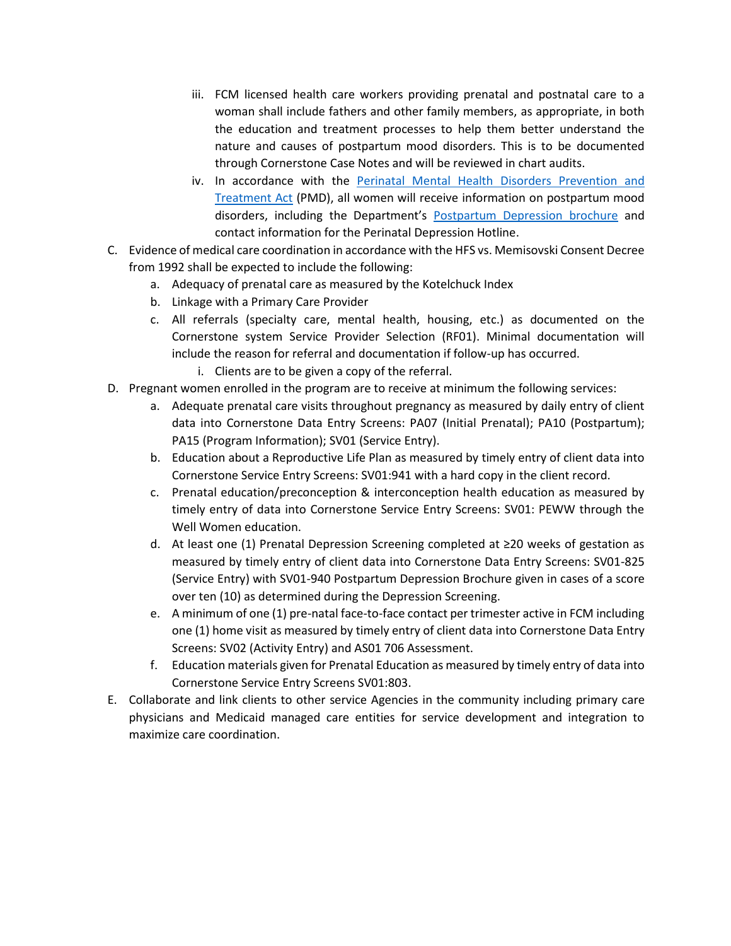- iii. FCM licensed health care workers providing prenatal and postnatal care to a woman shall include fathers and other family members, as appropriate, in both the education and treatment processes to help them better understand the nature and causes of postpartum mood disorders. This is to be documented through Cornerstone Case Notes and will be reviewed in chart audits.
- iv. In accordance with the [Perinatal Mental Health Disorders Prevention and](http://www.ilga.gov/legislation/publicacts/fulltext.asp?Name=095-0469http://www.ilga.gov/legislation/publicacts/fulltext.asp?Name=095-0469)  [Treatment Act](http://www.ilga.gov/legislation/publicacts/fulltext.asp?Name=095-0469http://www.ilga.gov/legislation/publicacts/fulltext.asp?Name=095-0469) (PMD), all women will receive information on postpartum mood disorders, including the Department's [Postpartum Depression brochure](http://intranet.dhs.illinois.gov/OneNetLibrary/27897/documents/Brochures/4661.pdf) and contact information for the Perinatal Depression Hotline.
- C. Evidence of medical care coordination in accordance with the HFS vs. Memisovski Consent Decree from 1992 shall be expected to include the following:
	- a. Adequacy of prenatal care as measured by the Kotelchuck Index
	- b. Linkage with a Primary Care Provider
	- c. All referrals (specialty care, mental health, housing, etc.) as documented on the Cornerstone system Service Provider Selection (RF01). Minimal documentation will include the reason for referral and documentation if follow-up has occurred.
		- i. Clients are to be given a copy of the referral.
- D. Pregnant women enrolled in the program are to receive at minimum the following services:
	- a. Adequate prenatal care visits throughout pregnancy as measured by daily entry of client data into Cornerstone Data Entry Screens: PA07 (Initial Prenatal); PA10 (Postpartum); PA15 (Program Information); SV01 (Service Entry).
	- b. Education about a Reproductive Life Plan as measured by timely entry of client data into Cornerstone Service Entry Screens: SV01:941 with a hard copy in the client record.
	- c. Prenatal education/preconception & interconception health education as measured by timely entry of data into Cornerstone Service Entry Screens: SV01: PEWW through the Well Women education.
	- d. At least one (1) Prenatal Depression Screening completed at ≥20 weeks of gestation as measured by timely entry of client data into Cornerstone Data Entry Screens: SV01-825 (Service Entry) with SV01-940 Postpartum Depression Brochure given in cases of a score over ten (10) as determined during the Depression Screening.
	- e. A minimum of one (1) pre-natal face-to-face contact per trimester active in FCM including one (1) home visit as measured by timely entry of client data into Cornerstone Data Entry Screens: SV02 (Activity Entry) and AS01 706 Assessment.
	- f. Education materials given for Prenatal Education as measured by timely entry of data into Cornerstone Service Entry Screens SV01:803.
- E. Collaborate and link clients to other service Agencies in the community including primary care physicians and Medicaid managed care entities for service development and integration to maximize care coordination.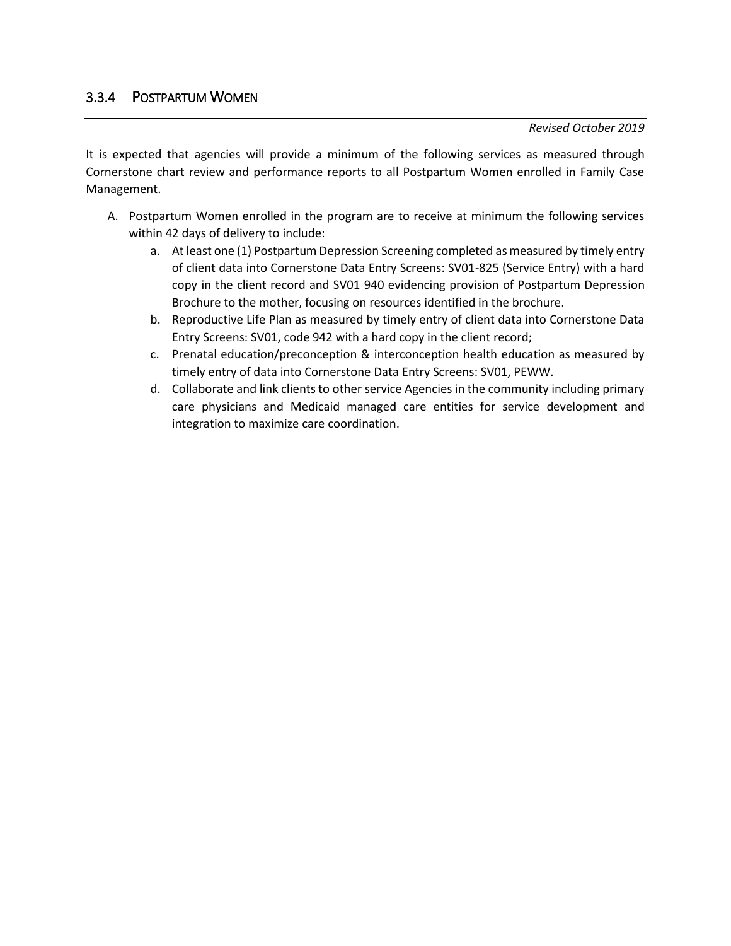It is expected that agencies will provide a minimum of the following services as measured through Cornerstone chart review and performance reports to all Postpartum Women enrolled in Family Case Management.

- A. Postpartum Women enrolled in the program are to receive at minimum the following services within 42 days of delivery to include:
	- a. At least one (1) Postpartum Depression Screening completed as measured by timely entry of client data into Cornerstone Data Entry Screens: SV01-825 (Service Entry) with a hard copy in the client record and SV01 940 evidencing provision of Postpartum Depression Brochure to the mother, focusing on resources identified in the brochure.
	- b. Reproductive Life Plan as measured by timely entry of client data into Cornerstone Data Entry Screens: SV01, code 942 with a hard copy in the client record;
	- c. Prenatal education/preconception & interconception health education as measured by timely entry of data into Cornerstone Data Entry Screens: SV01, PEWW.
	- d. Collaborate and link clients to other service Agencies in the community including primary care physicians and Medicaid managed care entities for service development and integration to maximize care coordination.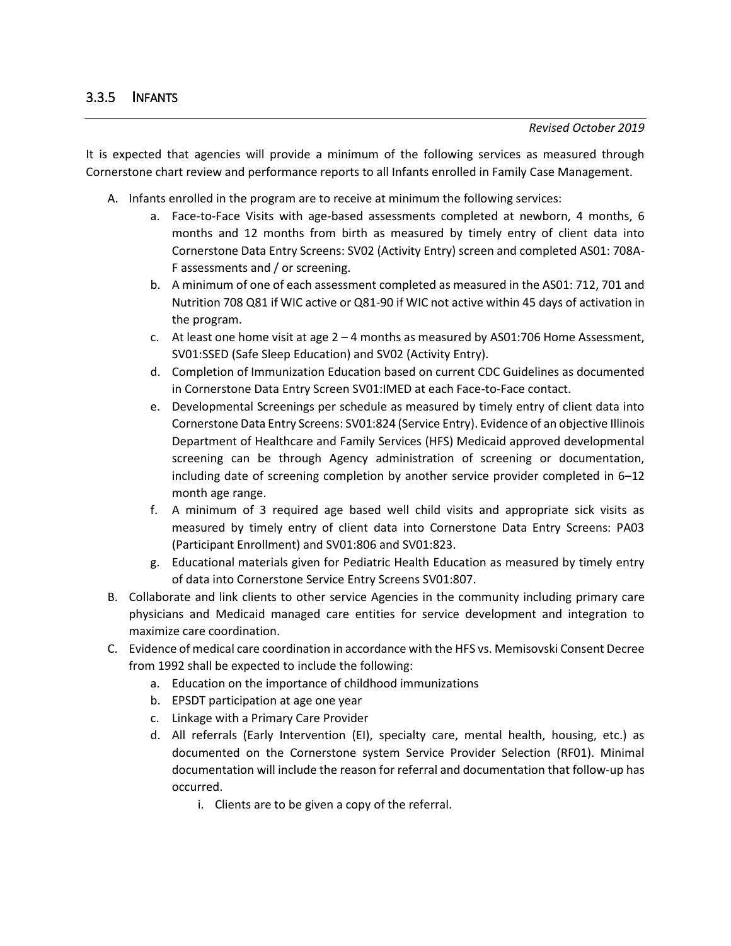It is expected that agencies will provide a minimum of the following services as measured through Cornerstone chart review and performance reports to all Infants enrolled in Family Case Management.

- A. Infants enrolled in the program are to receive at minimum the following services:
	- a. Face-to-Face Visits with age-based assessments completed at newborn, 4 months, 6 months and 12 months from birth as measured by timely entry of client data into Cornerstone Data Entry Screens: SV02 (Activity Entry) screen and completed AS01: 708A-F assessments and / or screening.
	- b. A minimum of one of each assessment completed as measured in the AS01: 712, 701 and Nutrition 708 Q81 if WIC active or Q81-90 if WIC not active within 45 days of activation in the program.
	- c. At least one home visit at age  $2 4$  months as measured by AS01:706 Home Assessment, SV01:SSED (Safe Sleep Education) and SV02 (Activity Entry).
	- d. Completion of Immunization Education based on current CDC Guidelines as documented in Cornerstone Data Entry Screen SV01:IMED at each Face-to-Face contact.
	- e. Developmental Screenings per schedule as measured by timely entry of client data into Cornerstone Data Entry Screens: SV01:824 (Service Entry). Evidence of an objective Illinois Department of Healthcare and Family Services (HFS) Medicaid approved developmental screening can be through Agency administration of screening or documentation, including date of screening completion by another service provider completed in 6–12 month age range.
	- f. A minimum of 3 required age based well child visits and appropriate sick visits as measured by timely entry of client data into Cornerstone Data Entry Screens: PA03 (Participant Enrollment) and SV01:806 and SV01:823.
	- g. Educational materials given for Pediatric Health Education as measured by timely entry of data into Cornerstone Service Entry Screens SV01:807.
- B. Collaborate and link clients to other service Agencies in the community including primary care physicians and Medicaid managed care entities for service development and integration to maximize care coordination.
- C. Evidence of medical care coordination in accordance with the HFS vs. Memisovski Consent Decree from 1992 shall be expected to include the following:
	- a. Education on the importance of childhood immunizations
	- b. EPSDT participation at age one year
	- c. Linkage with a Primary Care Provider
	- d. All referrals (Early Intervention (EI), specialty care, mental health, housing, etc.) as documented on the Cornerstone system Service Provider Selection (RF01). Minimal documentation will include the reason for referral and documentation that follow-up has occurred.
		- i. Clients are to be given a copy of the referral.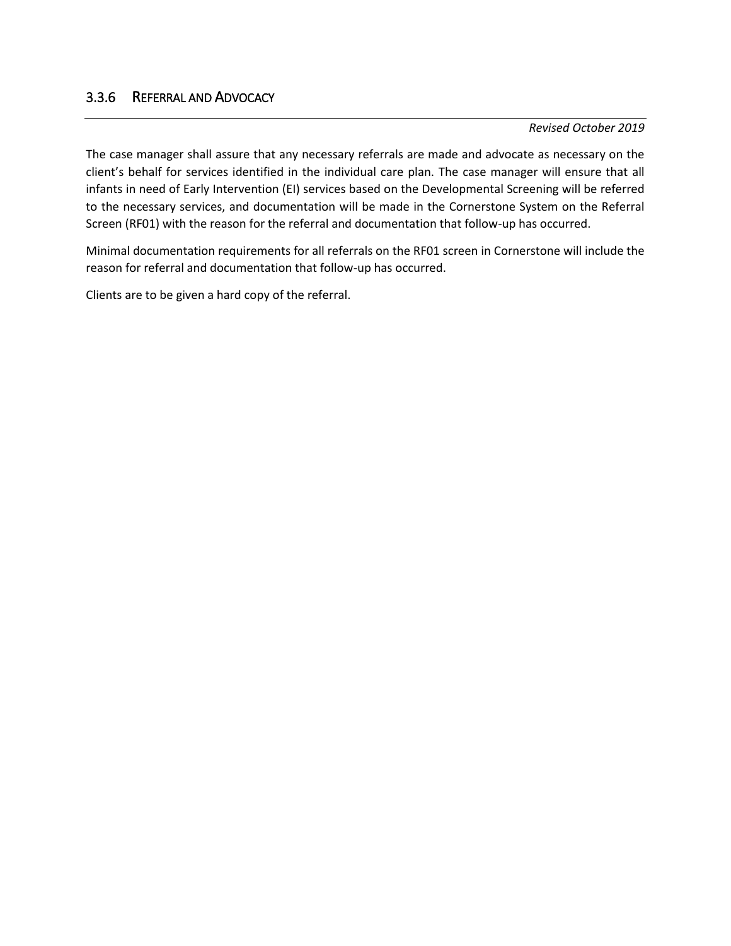### 3.3.6 REFERRAL AND ADVOCACY

#### *Revised October 2019*

The case manager shall assure that any necessary referrals are made and advocate as necessary on the client's behalf for services identified in the individual care plan. The case manager will ensure that all infants in need of Early Intervention (EI) services based on the Developmental Screening will be referred to the necessary services, and documentation will be made in the Cornerstone System on the Referral Screen (RF01) with the reason for the referral and documentation that follow-up has occurred.

Minimal documentation requirements for all referrals on the RF01 screen in Cornerstone will include the reason for referral and documentation that follow-up has occurred.

Clients are to be given a hard copy of the referral.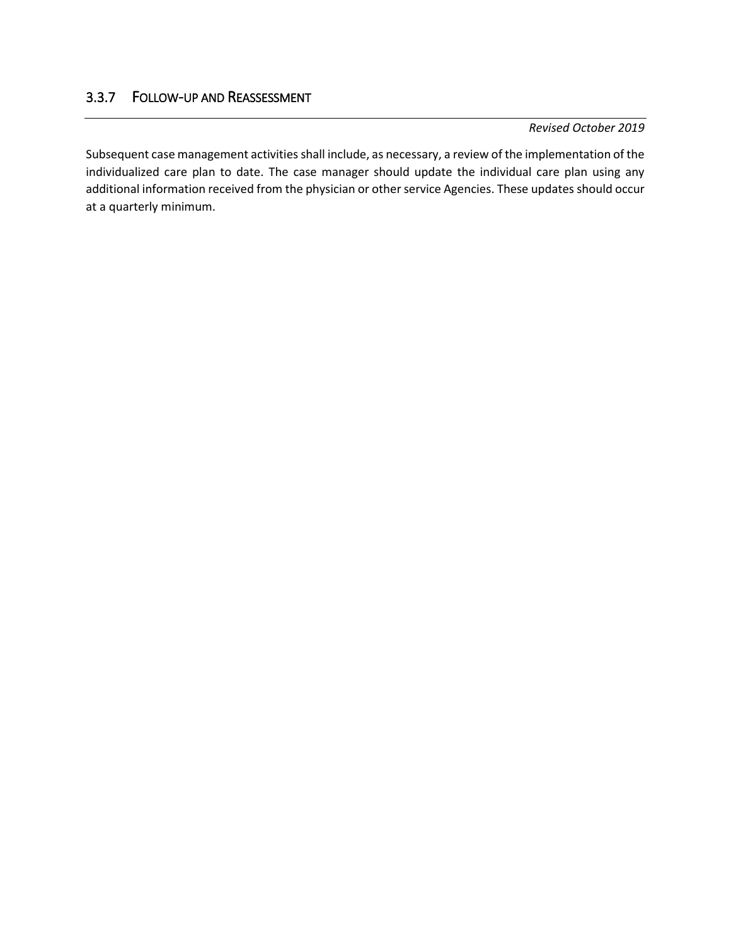## 3.3.7 FOLLOW-UP AND REASSESSMENT

#### *Revised October 2019*

Subsequent case management activities shall include, as necessary, a review of the implementation of the individualized care plan to date. The case manager should update the individual care plan using any additional information received from the physician or other service Agencies. These updates should occur at a quarterly minimum.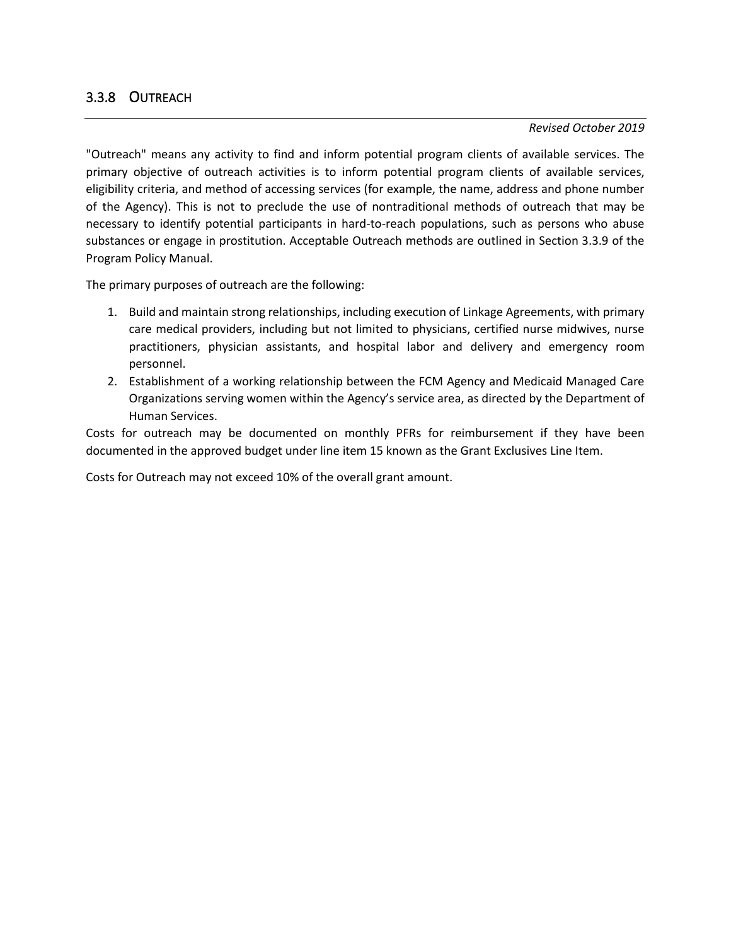## 3.3.8 OUTREACH

#### *Revised October 2019*

"Outreach" means any activity to find and inform potential program clients of available services. The primary objective of outreach activities is to inform potential program clients of available services, eligibility criteria, and method of accessing services (for example, the name, address and phone number of the Agency). This is not to preclude the use of nontraditional methods of outreach that may be necessary to identify potential participants in hard-to-reach populations, such as persons who abuse substances or engage in prostitution. Acceptable Outreach methods are outlined in Section 3.3.9 of the Program Policy Manual.

The primary purposes of outreach are the following:

- 1. Build and maintain strong relationships, including execution of Linkage Agreements, with primary care medical providers, including but not limited to physicians, certified nurse midwives, nurse practitioners, physician assistants, and hospital labor and delivery and emergency room personnel.
- 2. Establishment of a working relationship between the FCM Agency and Medicaid Managed Care Organizations serving women within the Agency's service area, as directed by the Department of Human Services.

Costs for outreach may be documented on monthly PFRs for reimbursement if they have been documented in the approved budget under line item 15 known as the Grant Exclusives Line Item.

Costs for Outreach may not exceed 10% of the overall grant amount.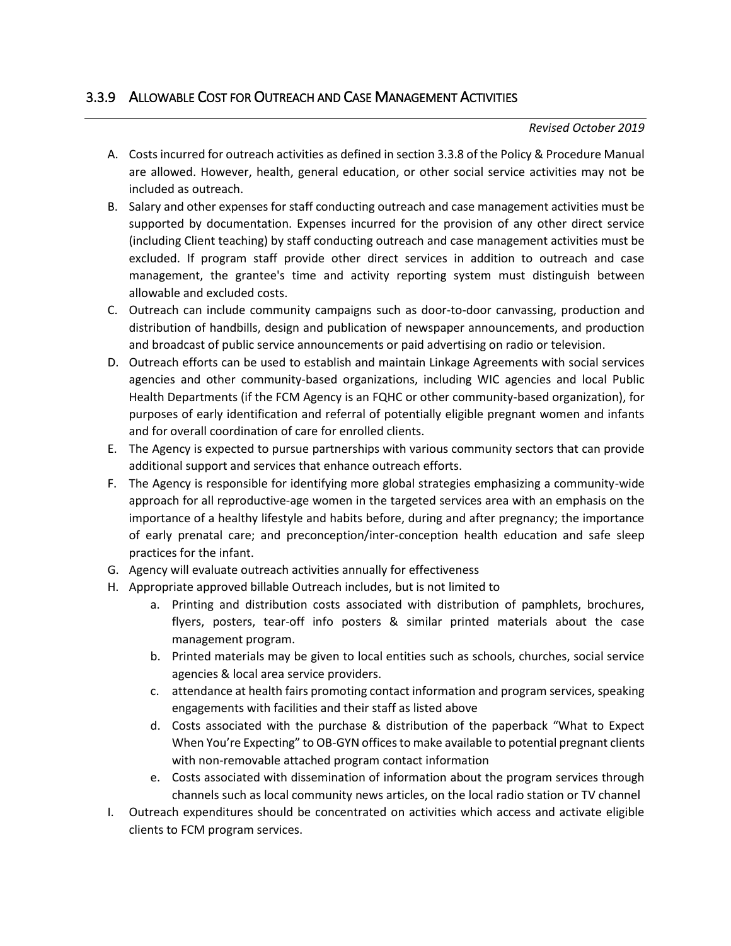# 3.3.9 ALLOWABLE COST FOR OUTREACH AND CASE MANAGEMENT ACTIVITIES

### *Revised October 2019*

- A. Costs incurred for outreach activities as defined in section 3.3.8 of the Policy & Procedure Manual are allowed. However, health, general education, or other social service activities may not be included as outreach.
- B. Salary and other expenses for staff conducting outreach and case management activities must be supported by documentation. Expenses incurred for the provision of any other direct service (including Client teaching) by staff conducting outreach and case management activities must be excluded. If program staff provide other direct services in addition to outreach and case management, the grantee's time and activity reporting system must distinguish between allowable and excluded costs.
- C. Outreach can include community campaigns such as door-to-door canvassing, production and distribution of handbills, design and publication of newspaper announcements, and production and broadcast of public service announcements or paid advertising on radio or television.
- D. Outreach efforts can be used to establish and maintain Linkage Agreements with social services agencies and other community-based organizations, including WIC agencies and local Public Health Departments (if the FCM Agency is an FQHC or other community-based organization), for purposes of early identification and referral of potentially eligible pregnant women and infants and for overall coordination of care for enrolled clients.
- E. The Agency is expected to pursue partnerships with various community sectors that can provide additional support and services that enhance outreach efforts.
- F. The Agency is responsible for identifying more global strategies emphasizing a community-wide approach for all reproductive-age women in the targeted services area with an emphasis on the importance of a healthy lifestyle and habits before, during and after pregnancy; the importance of early prenatal care; and preconception/inter-conception health education and safe sleep practices for the infant.
- G. Agency will evaluate outreach activities annually for effectiveness
- H. Appropriate approved billable Outreach includes, but is not limited to
	- a. Printing and distribution costs associated with distribution of pamphlets, brochures, flyers, posters, tear-off info posters & similar printed materials about the case management program.
	- b. Printed materials may be given to local entities such as schools, churches, social service agencies & local area service providers.
	- c. attendance at health fairs promoting contact information and program services, speaking engagements with facilities and their staff as listed above
	- d. Costs associated with the purchase & distribution of the paperback "What to Expect When You're Expecting" to OB-GYN offices to make available to potential pregnant clients with non-removable attached program contact information
	- e. Costs associated with dissemination of information about the program services through channels such as local community news articles, on the local radio station or TV channel
- I. Outreach expenditures should be concentrated on activities which access and activate eligible clients to FCM program services.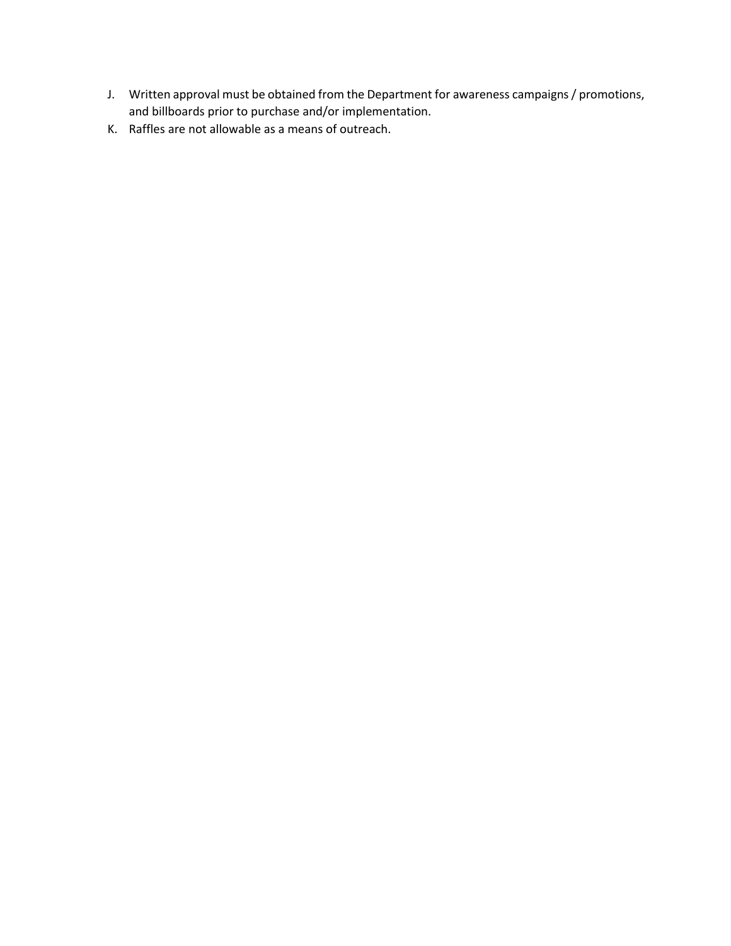- J. Written approval must be obtained from the Department for awareness campaigns / promotions, and billboards prior to purchase and/or implementation.
- K. Raffles are not allowable as a means of outreach.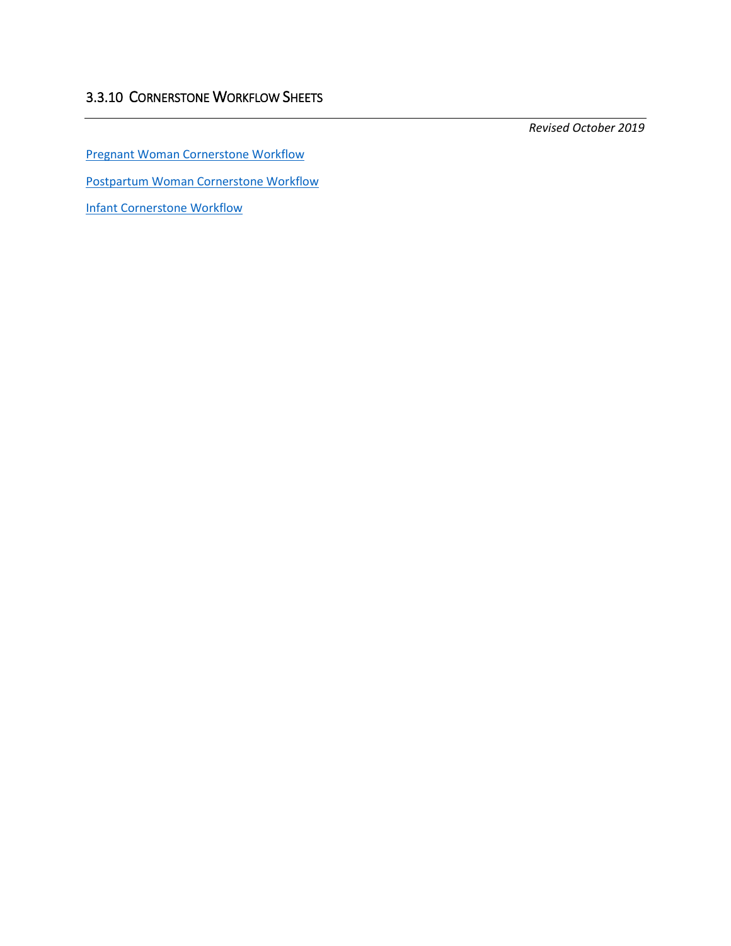[Pregnant Woman Cornerstone Workflow](http://www.dhs.state.il.us/page.aspx?item=118998)

[Postpartum Woman Cornerstone Workflow](http://www.dhs.state.il.us/page.aspx?item=118998)

[Infant Cornerstone Workflow](http://www.dhs.state.il.us/page.aspx?item=118998)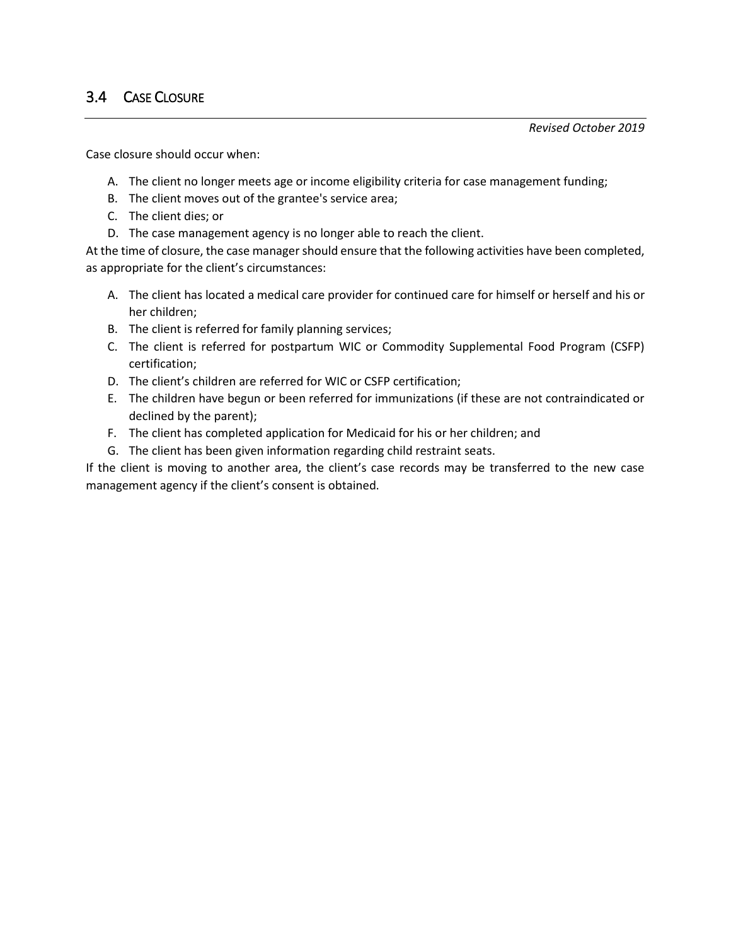# 3.4 CASE CLOSURE

*Revised October 2019*

Case closure should occur when:

- A. The client no longer meets age or income eligibility criteria for case management funding;
- B. The client moves out of the grantee's service area;
- C. The client dies; or
- D. The case management agency is no longer able to reach the client.

At the time of closure, the case manager should ensure that the following activities have been completed, as appropriate for the client's circumstances:

- A. The client has located a medical care provider for continued care for himself or herself and his or her children;
- B. The client is referred for family planning services;
- C. The client is referred for postpartum WIC or Commodity Supplemental Food Program (CSFP) certification;
- D. The client's children are referred for WIC or CSFP certification;
- E. The children have begun or been referred for immunizations (if these are not contraindicated or declined by the parent);
- F. The client has completed application for Medicaid for his or her children; and
- G. The client has been given information regarding child restraint seats.

If the client is moving to another area, the client's case records may be transferred to the new case management agency if the client's consent is obtained.